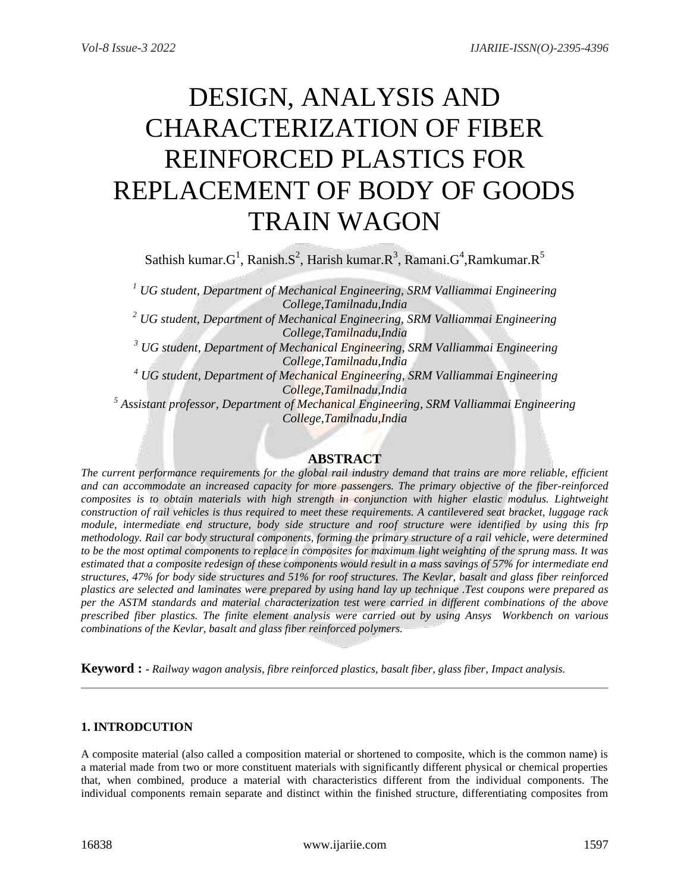# DESIGN, ANALYSIS AND CHARACTERIZATION OF FIBER REINFORCED PLASTICS FOR REPLACEMENT OF BODY OF GOODS TRAIN WAGON

Sathish kumar. $G^1$ , Ranish. $S^2$ , Harish kumar. $R^3$ , Ramani. $G^4$ ,Ramkumar. $R^5$ 

*<sup>1</sup> UG student, Department of Mechanical Engineering, SRM Valliammai Engineering College,Tamilnadu,India <sup>2</sup> UG student, Department of Mechanical Engineering, SRM Valliammai Engineering College,Tamilnadu,India <sup>3</sup> UG student, Department of Mechanical Engineering, SRM Valliammai Engineering College,Tamilnadu,India <sup>4</sup> UG student, Department of Mechanical Engineering, SRM Valliammai Engineering College,Tamilnadu,India <sup>5</sup> Assistant professor, Department of Mechanical Engineering, SRM Valliammai Engineering College,Tamilnadu,India*

# **ABSTRACT**

*The current performance requirements for the global rail industry demand that trains are more reliable, efficient and can accommodate an increased capacity for more passengers. The primary objective of the fiber-reinforced composites is to obtain materials with high strength in conjunction with higher elastic modulus. Lightweight construction of rail vehicles is thus required to meet these requirements. A cantilevered seat bracket, luggage rack module, intermediate end structure, body side structure and roof structure were identified by using this frp methodology. Rail car body structural components, forming the primary structure of a rail vehicle, were determined to be the most optimal components to replace in composites for maximum light weighting of the sprung mass. It was estimated that a composite redesign of these components would result in a mass savings of 57% for intermediate end structures, 47% for body side structures and 51% for roof structures. The Kevlar, basalt and glass fiber reinforced plastics are selected and laminates were prepared by using hand lay up technique .Test coupons were prepared as per the ASTM standards and material characterization test were carried in different combinations of the above prescribed fiber plastics. The finite element analysis were carried out by using Ansys Workbench on various combinations of the Kevlar, basalt and glass fiber reinforced polymers.* 

**Keyword : -** *Railway wagon analysis, fibre reinforced plastics, basalt fiber, glass fiber, Impact analysis.*

# **1. INTRODCUTION**

A composite material (also called a composition material or shortened to composite, which is the common name) is a material made from two or more constituent materials with significantly different physical or chemical properties that, when combined, produce a material with characteristics different from the individual components. The individual components remain separate and distinct within the finished structure, differentiating composites from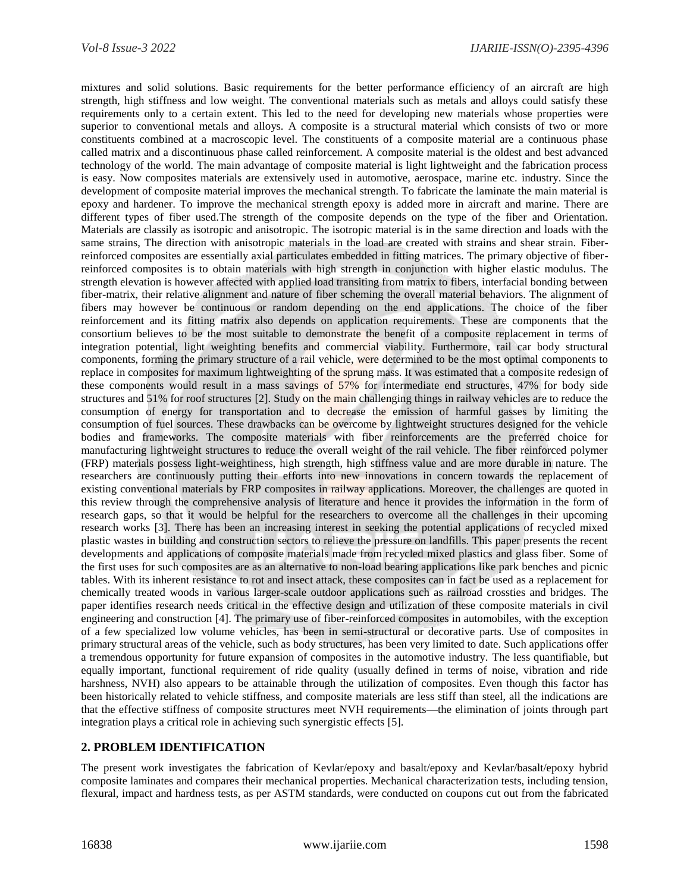mixtures and solid solutions. Basic requirements for the better performance efficiency of an aircraft are high strength, high stiffness and low weight. The conventional materials such as metals and alloys could satisfy these requirements only to a certain extent. This led to the need for developing new materials whose properties were superior to conventional metals and alloys. A composite is a structural material which consists of two or more constituents combined at a macroscopic level. The constituents of a composite material are a continuous phase called matrix and a discontinuous phase called reinforcement. A composite material is the oldest and best advanced technology of the world. The main advantage of composite material is light lightweight and the fabrication process is easy. Now composites materials are extensively used in automotive, aerospace, marine etc. industry. Since the development of composite material improves the mechanical strength. To fabricate the laminate the main material is epoxy and hardener. To improve the mechanical strength epoxy is added more in aircraft and marine. There are different types of fiber used.The strength of the composite depends on the type of the fiber and Orientation. Materials are classily as isotropic and anisotropic. The isotropic material is in the same direction and loads with the same strains, The direction with anisotropic materials in the load are created with strains and shear strain. Fiberreinforced composites are essentially axial particulates embedded in fitting matrices. The primary objective of fiberreinforced composites is to obtain materials with high strength in conjunction with higher elastic modulus. The strength elevation is however affected with applied load transiting from matrix to fibers, interfacial bonding between fiber-matrix, their relative alignment and nature of fiber scheming the overall material behaviors. The alignment of fibers may however be continuous or random depending on the end applications. The choice of the fiber reinforcement and its fitting matrix also depends on application requirements. These are components that the consortium believes to be the most suitable to demonstrate the benefit of a composite replacement in terms of integration potential, light weighting benefits and commercial viability. Furthermore, rail car body structural components, forming the primary structure of a rail vehicle, were determined to be the most optimal components to replace in composites for maximum lightweighting of the sprung mass. It was estimated that a composite redesign of these components would result in a mass savings of 57% for intermediate end structures, 47% for body side structures and 51% for roof structures [2]. Study on the main challenging things in railway vehicles are to reduce the consumption of energy for transportation and to decrease the emission of harmful gasses by limiting the consumption of fuel sources. These drawbacks can be overcome by lightweight structures designed for the vehicle bodies and frameworks. The composite materials with fiber reinforcements are the preferred choice for manufacturing lightweight structures to reduce the overall weight of the rail vehicle. The fiber reinforced polymer (FRP) materials possess light-weightiness, high strength, high stiffness value and are more durable in nature. The researchers are continuously putting their efforts into new innovations in concern towards the replacement of existing conventional materials by FRP composites in railway applications. Moreover, the challenges are quoted in this review through the comprehensive analysis of literature and hence it provides the information in the form of research gaps, so that it would be helpful for the researchers to overcome all the challenges in their upcoming research works [3]. There has been an increasing interest in seeking the potential applications of recycled mixed plastic wastes in building and construction sectors to relieve the pressure on landfills. This paper presents the recent developments and applications of composite materials made from recycled mixed plastics and glass fiber. Some of the first uses for such composites are as an alternative to non-load bearing applications like park benches and picnic tables. With its inherent resistance to rot and insect attack, these composites can in fact be used as a replacement for chemically treated woods in various larger-scale outdoor applications such as railroad crossties and bridges. The paper identifies research needs critical in the effective design and utilization of these composite materials in civil engineering and construction [4]. The primary use of fiber-reinforced composites in automobiles, with the exception of a few specialized low volume vehicles, has been in semi-structural or decorative parts. Use of composites in primary structural areas of the vehicle, such as body structures, has been very limited to date. Such applications offer a tremendous opportunity for future expansion of composites in the automotive industry. The less quantifiable, but equally important, functional requirement of ride quality (usually defined in terms of noise, vibration and ride harshness, NVH) also appears to be attainable through the utilization of composites. Even though this factor has been historically related to vehicle stiffness, and composite materials are less stiff than steel, all the indications are that the effective stiffness of composite structures meet NVH requirements—the elimination of joints through part integration plays a critical role in achieving such synergistic effects [5].

#### **2. PROBLEM IDENTIFICATION**

The present work investigates the fabrication of Kevlar/epoxy and basalt/epoxy and Kevlar/basalt/epoxy hybrid composite laminates and compares their mechanical properties. Mechanical characterization tests, including tension, flexural, impact and hardness tests, as per ASTM standards, were conducted on coupons cut out from the fabricated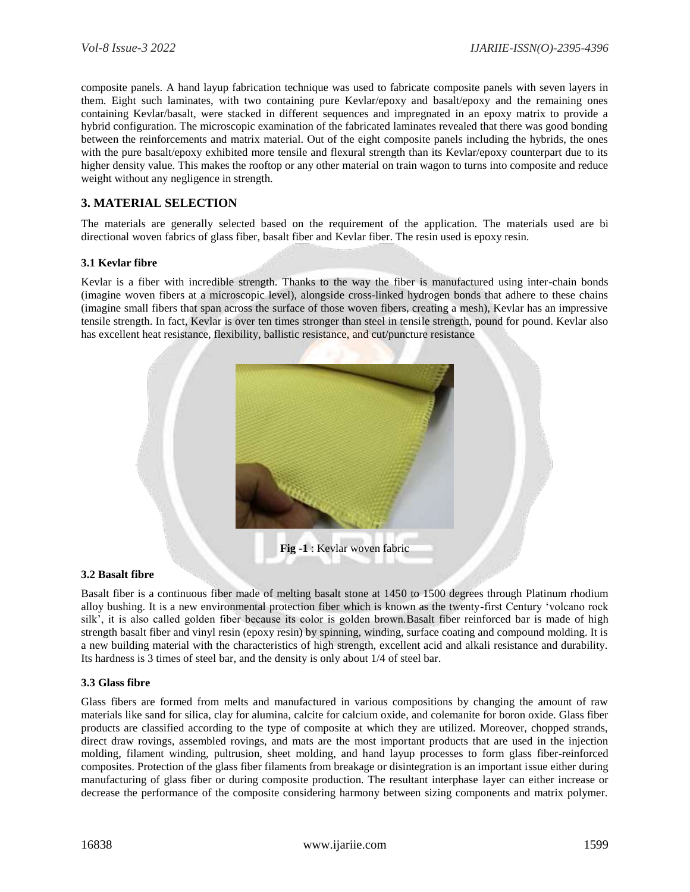composite panels. A hand layup fabrication technique was used to fabricate composite panels with seven layers in them. Eight such laminates, with two containing pure Kevlar/epoxy and basalt/epoxy and the remaining ones containing Kevlar/basalt, were stacked in different sequences and impregnated in an epoxy matrix to provide a hybrid configuration. The microscopic examination of the fabricated laminates revealed that there was good bonding between the reinforcements and matrix material. Out of the eight composite panels including the hybrids, the ones with the pure basalt/epoxy exhibited more tensile and flexural strength than its Kevlar/epoxy counterpart due to its higher density value. This makes the rooftop or any other material on train wagon to turns into composite and reduce weight without any negligence in strength.

## **3. MATERIAL SELECTION**

The materials are generally selected based on the requirement of the application. The materials used are bi directional woven fabrics of glass fiber, basalt fiber and Kevlar fiber. The resin used is epoxy resin.

#### **3.1 Kevlar fibre**

Kevlar is a fiber with incredible strength. Thanks to the way the fiber is manufactured using inter-chain bonds (imagine woven fibers at a microscopic level), alongside cross-linked hydrogen bonds that adhere to these chains (imagine small fibers that span across the surface of those woven fibers, creating a mesh), Kevlar has an impressive tensile strength. In fact, Kevlar is over ten times stronger than steel in tensile strength, pound for pound. Kevlar also has excellent heat resistance, flexibility, ballistic resistance, and cut/puncture resistance



#### **3.2 Basalt fibre**

Basalt fiber is a continuous fiber made of melting basalt stone at 1450 to 1500 degrees through Platinum rhodium alloy bushing. It is a new environmental protection fiber which is known as the twenty-first Century 'volcano rock silk', it is also called golden fiber because its color is golden brown.Basalt fiber reinforced bar is made of high strength basalt fiber and vinyl resin (epoxy resin) by spinning, winding, surface coating and compound molding. It is a new building material with the characteristics of high strength, excellent acid and alkali resistance and durability. Its hardness is 3 times of steel bar, and the density is only about 1/4 of steel bar.

#### **3.3 Glass fibre**

Glass fibers are formed from melts and manufactured in various compositions by changing the amount of raw materials like sand for silica, clay for alumina, calcite for calcium oxide, and colemanite for boron oxide. Glass fiber products are classified according to the type of composite at which they are utilized. Moreover, chopped strands, direct draw rovings, assembled rovings, and mats are the most important products that are used in the injection molding, filament winding, pultrusion, sheet molding, and hand layup processes to form glass fiber-reinforced composites. Protection of the glass fiber filaments from breakage or disintegration is an important issue either during manufacturing of glass fiber or during composite production. The resultant interphase layer can either increase or decrease the performance of the composite considering harmony between sizing components and matrix polymer.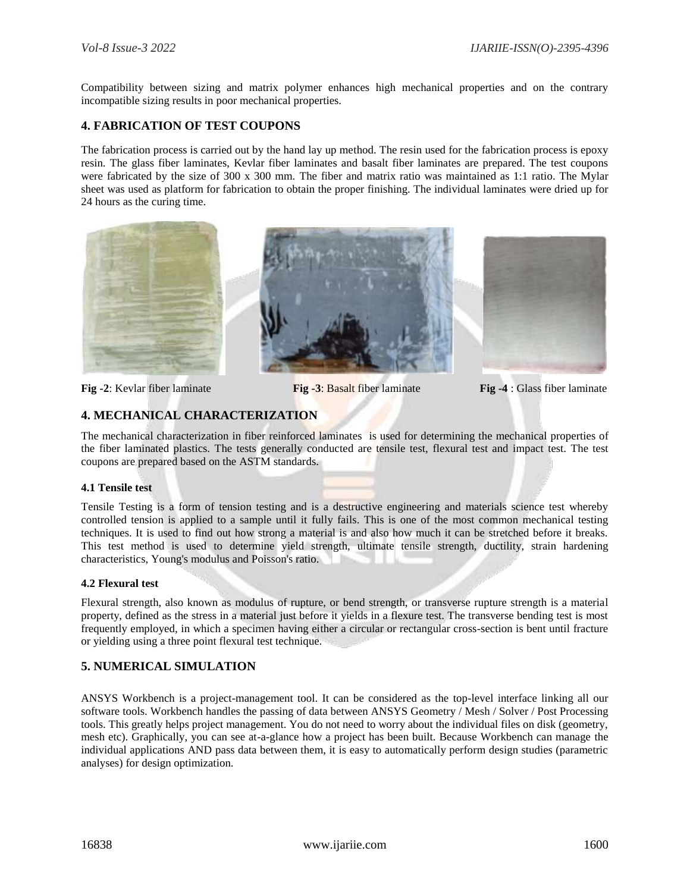Compatibility between sizing and matrix polymer enhances high mechanical properties and on the contrary incompatible sizing results in poor mechanical properties.

### **4. FABRICATION OF TEST COUPONS**

The fabrication process is carried out by the hand lay up method. The resin used for the fabrication process is epoxy resin. The glass fiber laminates, Kevlar fiber laminates and basalt fiber laminates are prepared. The test coupons were fabricated by the size of 300 x 300 mm. The fiber and matrix ratio was maintained as 1:1 ratio. The Mylar sheet was used as platform for fabrication to obtain the proper finishing. The individual laminates were dried up for 24 hours as the curing time.







**Fig -2**: Kevlar fiber laminate **Fig -3**: Basalt fiber laminate **Fig -4** : Glass fiber laminate

# **4. MECHANICAL CHARACTERIZATION**

The mechanical characterization in fiber reinforced laminates is used for determining the mechanical properties of the fiber laminated plastics. The tests generally conducted are tensile test, flexural test and impact test. The test coupons are prepared based on the ASTM standards.

#### **4.1 Tensile test**

Tensile Testing is a form of tension testing and is a destructive engineering and materials science test whereby controlled tension is applied to a sample until it fully fails. This is one of the most common mechanical testing techniques. It is used to find out how strong a material is and also how much it can be stretched before it breaks. This test method is used to determine yield strength, ultimate tensile strength, ductility, strain hardening characteristics, Young's modulus and Poisson's ratio.

#### **4.2 Flexural test**

Flexural strength, also known as modulus of rupture, or bend strength, or transverse rupture strength is a material property, defined as the stress in a material just before it yields in a flexure test. The transverse bending test is most frequently employed, in which a specimen having either a circular or rectangular cross-section is bent until fracture or yielding using a three point flexural test technique.

### **5. NUMERICAL SIMULATION**

ANSYS Workbench is a project-management tool. It can be considered as the top-level interface linking all our software tools. Workbench handles the passing of data between ANSYS Geometry / Mesh / Solver / Post Processing tools. This greatly helps project management. You do not need to worry about the individual files on disk (geometry, mesh etc). Graphically, you can see at-a-glance how a project has been built. Because Workbench can manage the individual applications AND pass data between them, it is easy to automatically perform design studies (parametric analyses) for design optimization.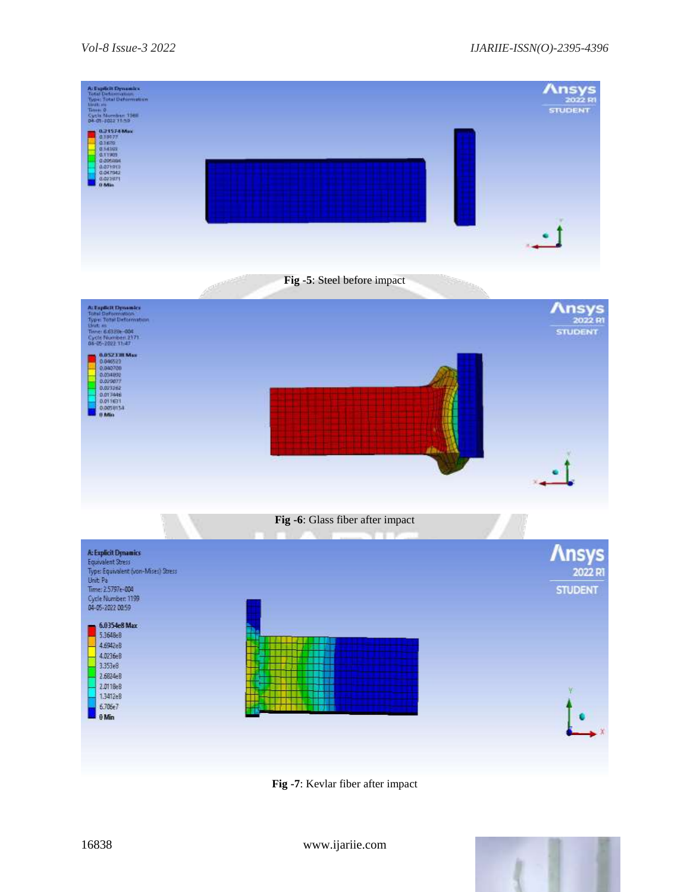

**Fig -7**: Kevlar fiber after impact